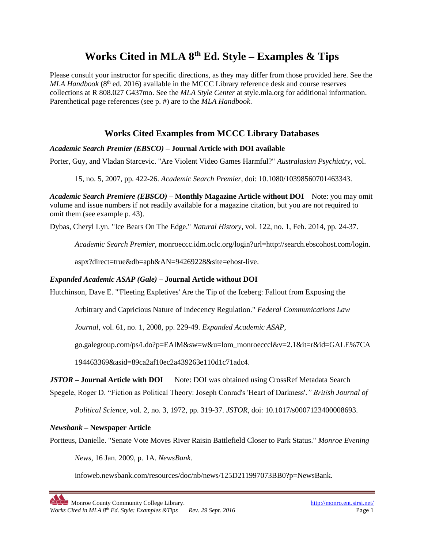# **Works Cited in MLA 8 th Ed. Style – Examples & Tips**

Please consult your instructor for specific directions, as they may differ from those provided here. See the *MLA Handbook* (8<sup>th</sup> ed. 2016) available in the MCCC Library reference desk and course reserves collections at R 808.027 G437mo. See the *MLA Style Center* at style.mla.org for additional information. Parenthetical page references (see p. #) are to the *MLA Handbook*.

# **Works Cited Examples from MCCC Library Databases**

### *Academic Search Premier (EBSCO)* **– Journal Article with DOI available**

Porter, Guy, and Vladan Starcevic. "Are Violent Video Games Harmful?" *Australasian Psychiatry*, vol.

15, no. 5, 2007, pp. 422-26. *Academic Search Premier*, doi: 10.1080/10398560701463343.

*Academic Search Premiere (EBSCO)* **– Monthly Magazine Article without DOI** Note: you may omit volume and issue numbers if not readily available for a magazine citation, but you are not required to omit them (see example p. 43).

Dybas, Cheryl Lyn. "Ice Bears On The Edge." *Natural History*, vol. 122, no. 1, Feb. 2014, pp. 24-37.

*Academic Search Premier*, monroeccc.idm.oclc.org/login?url=http://search.ebscohost.com/login.

aspx?direct=true&db=aph&AN=94269228&site=ehost-live.

### *Expanded Academic ASAP (Gale)* **– Journal Article without DOI**

Hutchinson, Dave E. "'Fleeting Expletives' Are the Tip of the Iceberg: Fallout from Exposing the

Arbitrary and Capricious Nature of Indecency Regulation." *Federal Communications Law* 

*Journal*, vol. 61, no. 1, 2008, pp. 229-49. *Expanded Academic ASAP*,

go.galegroup.com/ps/i.do?p=EAIM&sw=w&u=lom\_monroecccl&v=2.1&it=r&id=GALE%7CA

194463369&asid=89ca2af10ec2a439263e110d1c71adc4.

### *JSTOR* **– Journal Article with DOI** Note: DOI was obtained using CrossRef Metadata Search

Spegele, Roger D. "Fiction as Political Theory: Joseph Conrad's 'Heart of Darkness'.*" British Journal of* 

*Political Science*, vol. 2, no. 3, 1972, pp. 319-37. *JSTOR*, doi: 10.1017/s0007123400008693.

### *Newsbank* **– Newspaper Article**

Portteus, Danielle. "Senate Vote Moves River Raisin Battlefield Closer to Park Status." *Monroe Evening* 

*News*, 16 Jan. 2009, p. 1A. *NewsBank*.

infoweb.newsbank.com/resources/doc/nb/news/125D211997073BB0?p=NewsBank.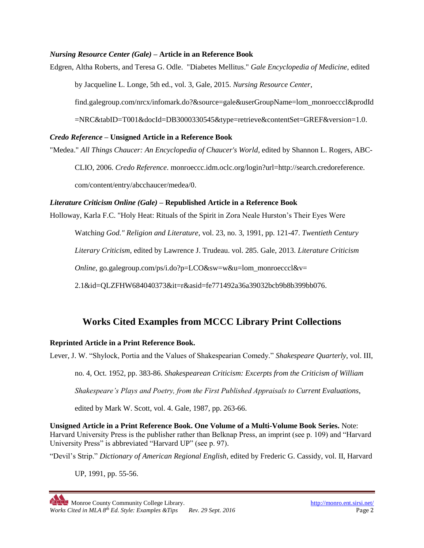### *Nursing Resource Center (Gale)* **– Article in an Reference Book**

Edgren, Altha Roberts, and Teresa G. Odle. "Diabetes Mellitus." *Gale Encyclopedia of Medicine*, edited

by Jacqueline L. Longe, 5th ed., vol. 3, Gale, 2015. *Nursing Resource Center*,

find.galegroup.com/nrcx/infomark.do?&source=gale&userGroupName=lom\_monroecccl&prodId

=NRC&tabID=T001&docId=DB3000330545&type=retrieve&contentSet=GREF&version=1.0.

#### *Credo Reference* **– Unsigned Article in a Reference Book**

"Medea." *All Things Chaucer: An Encyclopedia of Chaucer's World*, edited by Shannon L. Rogers, ABC-

CLIO, 2006. *Credo Reference*. monroeccc.idm.oclc.org/login?url=http://search.credoreference.

com/content/entry/abcchaucer/medea/0.

#### *Literature Criticism Online (Gale)* **– Republished Article in a Reference Book**

Holloway, Karla F.C. "Holy Heat: Rituals of the Spirit in Zora Neale Hurston's Their Eyes Were

Watchin*g God." Religion and Literature*, vol. 23, no. 3, 1991, pp. 121-47. *Twentieth Century* 

*Literary Criticism*, edited by Lawrence J. Trudeau. vol. 285. Gale, 2013. *Literature Criticism* 

*Online*, go.galegroup.com/ps/i.do?p=LCO&sw=w&u=lom\_monroecccl&v=

2.1&id=QLZFHW684040373&it=r&asid=fe771492a36a39032bcb9b8b399bb076.

# **Works Cited Examples from MCCC Library Print Collections**

### **Reprinted Article in a Print Reference Book.**

Lever, J. W. "Shylock, Portia and the Values of Shakespearian Comedy." *Shakespeare Quarterly*, vol. III,

no. 4, Oct. 1952, pp. 383-86. *Shakespearean Criticism: Excerpts from the Criticism of William* 

*Shakespeare's Plays and Poetry, from the First Published Appraisals to Current Evaluations*,

edited by Mark W. Scott, vol. 4. Gale, 1987, pp. 263-66.

**Unsigned Article in a Print Reference Book. One Volume of a Multi-Volume Book Series.** Note: Harvard University Press is the publisher rather than Belknap Press, an imprint (see p. 109) and "Harvard University Press" is abbreviated "Harvard UP" (see p. 97).

"Devil's Strip." *Dictionary of American Regional English*, edited by Frederic G. Cassidy, vol. II, Harvard

UP, 1991, pp. 55-56.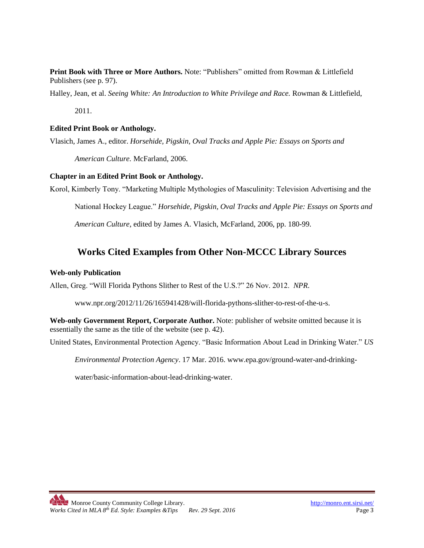**Print Book with Three or More Authors.** Note: "Publishers" omitted from Rowman & Littlefield Publishers (see p. 97).

Halley, Jean, et al. *Seeing White: An Introduction to White Privilege and Race.* Rowman & Littlefield,

2011.

#### **Edited Print Book or Anthology.**

Vlasich, James A., editor. *Horsehide, Pigskin, Oval Tracks and Apple Pie: Essays on Sports and* 

*American Culture.* McFarland, 2006.

### **Chapter in an Edited Print Book or Anthology.**

Korol, Kimberly Tony. "Marketing Multiple Mythologies of Masculinity: Television Advertising and the

National Hockey League." *Horsehide, Pigskin, Oval Tracks and Apple Pie: Essays on Sports and* 

*American Culture*, edited by James A. Vlasich, McFarland, 2006, pp. 180-99.

# **Works Cited Examples from Other Non-MCCC Library Sources**

#### **Web-only Publication**

Allen, Greg. "Will Florida Pythons Slither to Rest of the U.S.?" 26 Nov. 2012. *NPR*.

www.npr.org/2012/11/26/165941428/will-florida-pythons-slither-to-rest-of-the-u-s.

**Web-only Government Report, Corporate Author.** Note: publisher of website omitted because it is essentially the same as the title of the website (see p. 42).

United States, Environmental Protection Agency. "Basic Information About Lead in Drinking Water." *US* 

*Environmental Protection Agency*. 17 Mar. 2016. www.epa.gov/ground-water-and-drinking-

water/basic-information-about-lead-drinking-water.